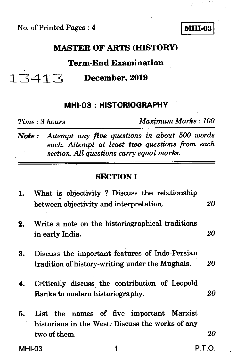No. of Printed Pages : 4 **I MHI-03** 

### **MASTER OF ARTS (HISTORY)**

### **Term-End Examination**

-1.7341TE **December, 2019** 

#### **MHI-03 : HISTORIOGRAPHY**

*Time : 3 hours Maximum Marks : 100* 

*Note : Attempt any five questions in about 500 words each. Attempt at least two questions from each section. All questions carry equal marks.* 

#### **SECTION I**

| 1.            | What is objectivity ? Discuss the relationship                                                               |        |
|---------------|--------------------------------------------------------------------------------------------------------------|--------|
|               | between objectivity and interpretation.                                                                      | 20     |
| 2.            | Write a note on the historiographical traditions<br>in early India.                                          | 20     |
| 3.            | Discuss the important features of Indo-Persian<br>tradition of history-writing under the Mughals.            | $20\,$ |
| 4.            | Critically discuss the contribution of Leopold<br>Ranke to modern historiography.                            | 20     |
| 5.            | List the names of five important Marxist<br>historians in the West. Discuss the works of any<br>two of them. | 20     |
| <b>MHI-03</b> |                                                                                                              | P.T.O. |
|               |                                                                                                              |        |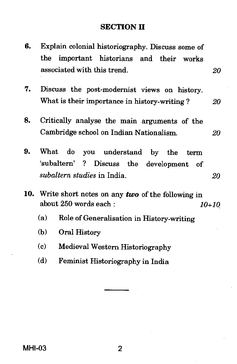### **SECTION II**

| 6. | the :                       | Explain colonial historiography. Discuss some of<br>important historians and their<br>works                                          |           |
|----|-----------------------------|--------------------------------------------------------------------------------------------------------------------------------------|-----------|
|    |                             | associated with this trend.                                                                                                          | 20        |
| 7. |                             | Discuss the post-modernist views on history.                                                                                         |           |
|    |                             | What is their importance in history-writing?                                                                                         | 20        |
| 8. |                             | Critically analyse the main arguments of the                                                                                         |           |
|    |                             | Cambridge school on Indian Nationalism.                                                                                              | 20        |
| 9. | What                        | do<br>you understand by the<br>term<br>ʻsubaltern'<br>$\mathbf{?}$<br>Discuss the development<br>- of<br>subaltern studies in India. | <i>20</i> |
|    |                             | 10. Write short notes on any two of the following in<br>about 250 words each:<br>$10 + 10$                                           |           |
|    | (a)                         | Role of Generalisation in History-writing                                                                                            |           |
|    | (b)                         | Oral History                                                                                                                         |           |
|    | $\left( \mathbf{c} \right)$ | Medieval Western Historiography                                                                                                      |           |
|    | (d)                         | Feminist Historiography in India                                                                                                     |           |
|    |                             |                                                                                                                                      |           |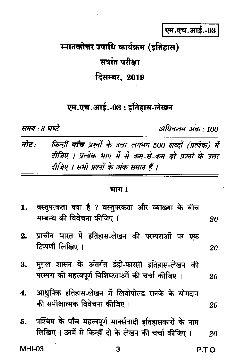एम.एच.आई.-03

# स्नातकोत्तर उपाधि कार्यक्रम (इतिहास) सत्रांत परीक्षा दिसम्बर, 2019

## एम.एच.आई.-03 : इतिहास-लेखन

समय : 3 घण्टे

अधिकतम अंक · 100

किन्हीं **पाँच** प्रश्नों के उत्तर लगभग 500 शब्दों (प्रत्येक) में नोट: दीजिए । प्रत्येक भाग में से कम-से-कम दो प्रश्नों के उत्तर दीजिए । सभी प्रश्नों के अंक समान हैं ।

#### भाग 1

| 1. | वस्तुपरकता क्या है ? वस्तुपरकता और व्याख्या के बीच<br>सम्बन्ध की विवेचना कीजिए ।                                 | 20 |
|----|------------------------------------------------------------------------------------------------------------------|----|
| 2. | प्राचीन भारत में इतिहास-लेखन की परम्पराओं पर एक<br>टिप्पणी लिखिए ।                                               | 20 |
|    | 3. मुग़ल शासन के अंतर्गत इंडो-फारसी इतिहास-लेखन की<br>परम्परा की महत्त्वपूर्ण विशिष्टताओं की चर्चा कीजिए ।       | 20 |
| 4. | आधुनिक इतिहास-लेखन में लियोपोल्ड रानके के योगदान<br>की समीक्षात्मक विवेचना कीजिए ।                               | 20 |
| 5. | पश्चिम के पाँच महत्त्वपूर्ण मार्क्सवादी इतिहासकारों के नाम<br>लिखिए। उनमें से किन्हीं दो के लेखन की चर्चा कीजिए। | 20 |

**MHI-03**